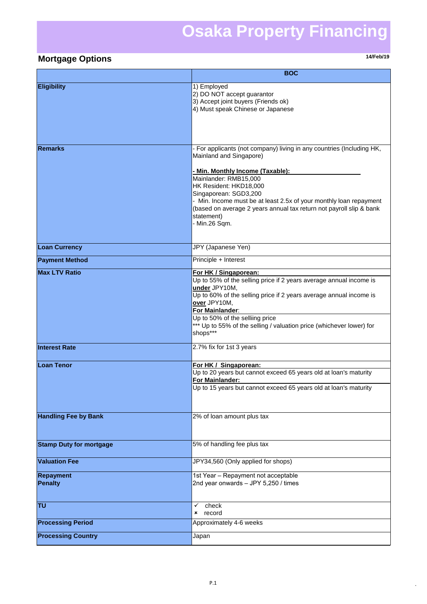## **Osaka Property Financing**

## **Mortgage Options 14/Feb/19**

|                                    | <b>BOC</b>                                                                                                                                                                                                                                                                                                                                                                                   |
|------------------------------------|----------------------------------------------------------------------------------------------------------------------------------------------------------------------------------------------------------------------------------------------------------------------------------------------------------------------------------------------------------------------------------------------|
| <b>Eligibility</b>                 | 1) Employed<br>2) DO NOT accept guarantor<br>3) Accept joint buyers (Friends ok)<br>4) Must speak Chinese or Japanese                                                                                                                                                                                                                                                                        |
| <b>Remarks</b>                     | - For applicants (not company) living in any countries (Including HK,<br>Mainland and Singapore)<br>- Min. Monthly Income (Taxable):<br>Mainlander: RMB15,000<br>HK Resident: HKD18,000<br>Singaporean: SGD3,200<br>- Min. Income must be at least 2.5x of your monthly loan repayment<br>(based on average 2 years annual tax return not payroll slip & bank<br>statement)<br>- Min.26 Sqm. |
| <b>Loan Currency</b>               | JPY (Japanese Yen)                                                                                                                                                                                                                                                                                                                                                                           |
| <b>Payment Method</b>              | Principle + Interest                                                                                                                                                                                                                                                                                                                                                                         |
| <b>Max LTV Ratio</b>               | For HK / Singaporean:<br>Up to 55% of the selling price if 2 years average annual income is<br>under JPY10M,<br>Up to 60% of the selling price if 2 years average annual income is<br>over JPY10M,<br>For Mainlander:<br>Up to 50% of the selliing price<br>*** Up to 55% of the selling / valuation price (whichever lower) for<br>shops***                                                 |
| <b>Interest Rate</b>               | 2.7% fix for 1st 3 years                                                                                                                                                                                                                                                                                                                                                                     |
| <b>Loan Tenor</b>                  | For HK / Singaporean:<br>Up to 20 years but cannot exceed 65 years old at loan's maturity<br>For Mainlander:<br>Up to 15 years but cannot exceed 65 years old at loan's maturity                                                                                                                                                                                                             |
| <b>Handling Fee by Bank</b>        | 2% of loan amount plus tax                                                                                                                                                                                                                                                                                                                                                                   |
| <b>Stamp Duty for mortgage</b>     | 5% of handling fee plus tax                                                                                                                                                                                                                                                                                                                                                                  |
| <b>Valuation Fee</b>               | JPY34,560 (Only applied for shops)                                                                                                                                                                                                                                                                                                                                                           |
| <b>Repayment</b><br><b>Penalty</b> | 1st Year - Repayment not acceptable<br>2nd year onwards - JPY 5,250 / times                                                                                                                                                                                                                                                                                                                  |
| TU                                 | check<br>✓<br>record<br>×                                                                                                                                                                                                                                                                                                                                                                    |
| <b>Processing Period</b>           | Approximately 4-6 weeks                                                                                                                                                                                                                                                                                                                                                                      |
| <b>Processing Country</b>          | Japan                                                                                                                                                                                                                                                                                                                                                                                        |